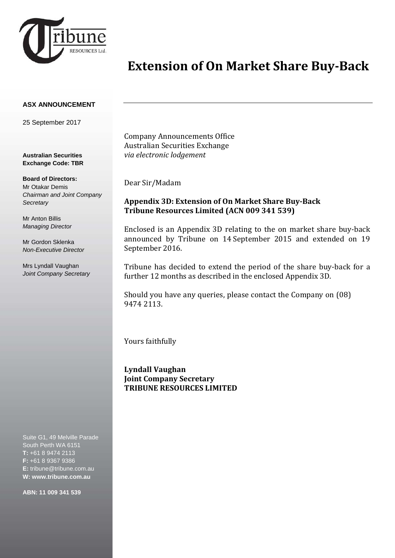

# **Extension of On Market Share Buy-Back**

#### **ASX ANNOUNCEMENT**

25 September 2017

**Australian Securities Exchange Code: TBR**

### **Board of Directors:**

Mr Otakar Demis *Chairman and Joint Company Secretary* 

Mr Anton Billis *Managing Director*

Mr Gordon Sklenka *Non-Executive Director*

Mrs Lyndall Vaughan *Joint Company Secretary*

Suite G1, 49 Melville Parade South Perth WA 6151 **T:** +61 8 9474 2113 **F:** +61 8 9367 9386 **E:** tribune@tribune.com.au **W: www.tribune.com.au**

**ABN: 11 009 341 539**

Company Announcements Office Australian Securities Exchange *via electronic lodgement*

Dear Sir/Madam

### **Appendix 3D: Extension of On Market Share Buy-Back Tribune Resources Limited (ACN 009 341 539)**

Enclosed is an Appendix 3D relating to the on market share buy-back announced by Tribune on 14 September 2015 and extended on 19 September 2016.

Tribune has decided to extend the period of the share buy-back for a further 12 months as described in the enclosed Appendix 3D.

Should you have any queries, please contact the Company on (08) 9474 2113.

Yours faithfully

**Lyndall Vaughan Joint Company Secretary TRIBUNE RESOURCES LIMITED**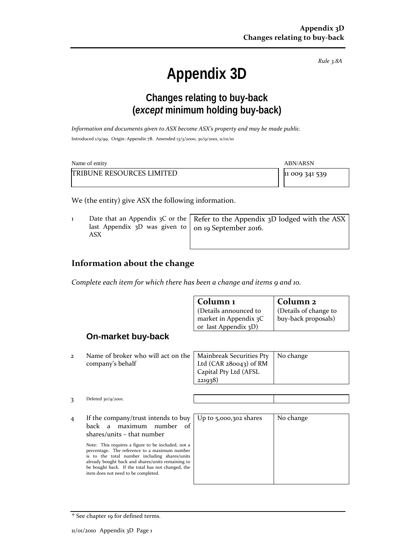*Rule 3.8A*

# **Appendix 3D**

# **Changes relating to buy-back (***except* **minimum holding buy-back)**

*Information and documents given to ASX become ASX's property and may be made public.* Introduced 1/9/99. Origin: Appendix 7B. Amended 13/3/2000, 30/9/2001, 11/01/10

| Name of entity                   | <b>ABN/ARSN</b> |  |
|----------------------------------|-----------------|--|
| <b>TRIBUNE RESOURCES LIMITED</b> | 11 009 341 539  |  |

We (the entity) give ASX the following information.

1 Date that an Appendix 3C or the last Appendix 3D was given to ASX Refer to the Appendix 3D lodged with the ASX on 19 September 2016.

### **Information about the change**

*Complete each item for which there has been a change and items 9 and 10.*

|                |                                                                                                                                                                                                                                                                                                                                                                                                                   | Column <sub>1</sub><br>(Details announced to<br>market in Appendix 3C<br>or last Appendix 3D) | Column <sub>2</sub><br>(Details of change to<br>buy-back proposals) |
|----------------|-------------------------------------------------------------------------------------------------------------------------------------------------------------------------------------------------------------------------------------------------------------------------------------------------------------------------------------------------------------------------------------------------------------------|-----------------------------------------------------------------------------------------------|---------------------------------------------------------------------|
|                | On-market buy-back                                                                                                                                                                                                                                                                                                                                                                                                |                                                                                               |                                                                     |
| $\mathbf{2}$   | Name of broker who will act on the<br>company's behalf                                                                                                                                                                                                                                                                                                                                                            | Mainbreak Securities Pty<br>Ltd $(CAR 280043)$ of RM<br>Capital Pty Ltd (AFSL<br>221938)      | No change                                                           |
| 3              | Deleted $30/9/2001$ .                                                                                                                                                                                                                                                                                                                                                                                             |                                                                                               |                                                                     |
| $\overline{4}$ | If the company/trust intends to buy<br>maximum<br>number<br>back a<br>of<br>$shares/units - that number$<br>Note: This requires a figure to be included, not a<br>percentage. The reference to a maximum number<br>is to the total number including shares/units<br>already bought back and shares/units remaining to<br>be bought back. If the total has not changed, the<br>item does not need to be completed. | Up to 5,000,302 shares                                                                        | No change                                                           |

<sup>+</sup> See chapter 19 for defined terms.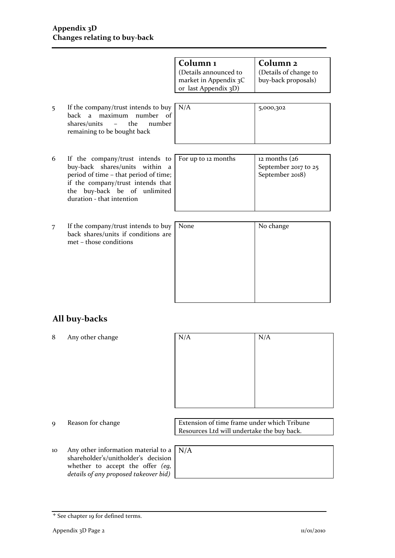|                                                                                                                                                                                                                    | Column <sub>1</sub><br>(Details announced to<br>market in Appendix 3C<br>or last Appendix 3D) | Column <sub>2</sub><br>(Details of change to<br>buy-back proposals) |
|--------------------------------------------------------------------------------------------------------------------------------------------------------------------------------------------------------------------|-----------------------------------------------------------------------------------------------|---------------------------------------------------------------------|
| If the company/trust intends to buy<br>maximum number of<br>back a<br>the<br>shares/units<br>number<br>$-$<br>remaining to be bought back                                                                          | N/A                                                                                           | 5,000,302                                                           |
| If the company/trust intends to<br>buy-back shares/units within<br>a<br>period of time - that period of time;<br>if the company/trust intends that<br>buy-back be of unlimited<br>the<br>duration - that intention | For up to 12 months                                                                           | $12$ months $(26)$<br>September 2017 to 25<br>September 2018)       |
| If the company/trust intends to buy<br>back shares/units if conditions are<br>met - those conditions                                                                                                               | None                                                                                          | No change                                                           |
|                                                                                                                                                                                                                    |                                                                                               |                                                                     |

### **All buy-backs**

8 Any other change

| N/A | N/A |
|-----|-----|
|     |     |
|     |     |
|     |     |
|     |     |
|     |     |
|     |     |

10 Any other information material to a N/Ashareholder's/unitholder's decision whether to accept the offer *(eg,* 

9 Reason for change Extension of time frame under which Tribune Resources Ltd will undertake the buy back.

*details of any proposed takeover bid)*

| N/A |  |  |  |
|-----|--|--|--|
|     |  |  |  |
|     |  |  |  |
|     |  |  |  |

<sup>+</sup> See chapter 19 for defined terms.